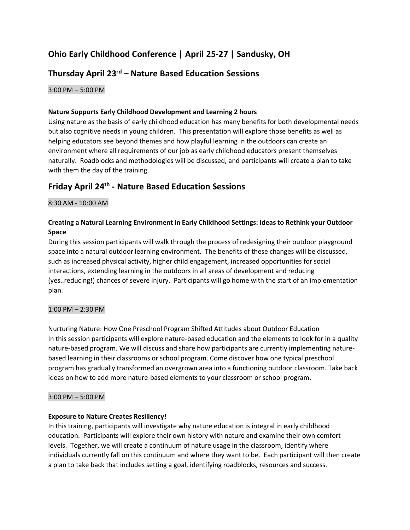# **Ohio Early Childhood Conference | April 25-27 | Sandusky, OH**

## **Thursday April 23rd – Nature Based Education Sessions**

3:00 PM – 5:00 PM

## **Nature Supports Early Childhood Development and Learning 2 hours**

Using nature as the basis of early childhood education has many benefits for both developmental needs but also cognitive needs in young children. This presentation will explore those benefits as well as helping educators see beyond themes and how playful learning in the outdoors can create an environment where all requirements of our job as early childhood educators present themselves naturally. Roadblocks and methodologies will be discussed, and participants will create a plan to take with them the day of the training.

## **Friday April 24 th - Nature Based Education Sessions**

## 8:30 AM - 10:00 AM

## **Creating a Natural Learning Environment in Early Childhood Settings: Ideas to Rethink your Outdoor Space**

During this session participants will walk through the process of redesigning their outdoor playground space into a natural outdoor learning environment. The benefits of these changes will be discussed, such as increased physical activity, higher child engagement, increased opportunities for social interactions, extending learning in the outdoors in all areas of development and reducing (yes..reducing!) chances of severe injury. Participants will go home with the start of an implementation plan.

## 1:00 PM – 2:30 PM

Nurturing Nature: How One Preschool Program Shifted Attitudes about Outdoor Education In this session participants will explore nature-based education and the elements to look for in a quality nature-based program. We will discuss and share how participants are currently implementing naturebased learning in their classrooms or school program. Come discover how one typical preschool program has gradually transformed an overgrown area into a functioning outdoor classroom. Take back ideas on how to add more nature-based elements to your classroom or school program.

## 3:00 PM – 5:00 PM

## **Exposure to Nature Creates Resiliency!**

In this training, participants will investigate why nature education is integral in early childhood education. Participants will explore their own history with nature and examine their own comfort levels. Together, we will create a continuum of nature usage in the classroom, identify where individuals currently fall on this continuum and where they want to be. Each participant will then create a plan to take back that includes setting a goal, identifying roadblocks, resources and success.